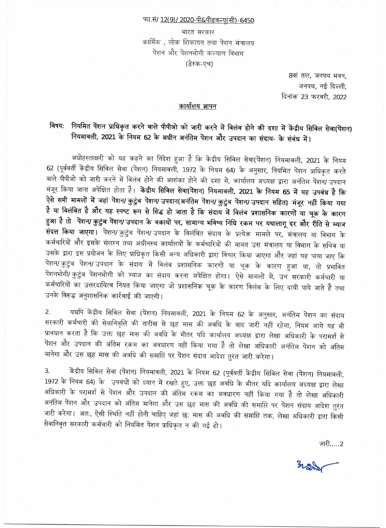#### फा.सं/ <u>12(9)/ 2020-पी&पीडबल्यु</u>(सी)-6450

भारत सरकार कार्मिक), लोक शिकायत तथा पेंशन मंत्रालय पेंशन और पेंशनभोगी कल्याण विभाग (डेस्क-एच)

> 8वां तल, जनपथ भवन, जनपथ, नई दिल्ली, दिनांक 23 फरवरी. 2022

## कार्यालय ज्ञापन

# विषय: नियमित पेंशन प्राधिकृत करने वाले पीपीओ को जारी करने में विलंब होने की दशा में केंद्रीय सिविल सेवा(पेंशन) नियमावली, 2021 के नियम 62 के अधीन अनंतिम पेंशन और उपदान का संदाय- के संबंध में।

अधोहस्ताक्षरी को यह कहने का निदेश हुआ है कि केंद्रीय सिविल सेवा(पेंशन) नियमावली, 2021 के नियम 62 (पूर्ववर्ती केंद्रीय सिविल सेवा (पेंशन) नियमावली, 1972 के नियम 64) के अनुसार, नियमित पेंशन प्राधिकृत करते वाले पीपीओ को जारी करने में विलंब होने की आशंका होने की दशा में, कार्यालय अध्यक्ष द्वारा अनंतिम पेंशन/ उपदान मंजूर किया जाना अपेक्षित होता है। केंद्रीय सिविल सेवा(पेंशन) नियमावली, 2021 के नियम 65 में यह उपबंध है कि ऐसे सभी मामलों में जहां पेंशन/कुटुंब पेंशन/ उपदान(अनंतिम पेंशन/कुटुंब पेंशन/ उपदान सहित) मंजूर नहीं किया गया है या विलंबित है और यह स्पष्ट रूप से सिद्ध हो जाता है कि संदाय में विलंब प्रशासनिक कारणों या चूक के कारण हुआ है तो पेंशन/कुटुंब पेंशन/ उपदान के बकायों पर, सामान्य भविष्य निधि रकम पर यथालागू दर और रीति से ब्याज संदत्त किया जाएगा। पेंशन/कुटुंब पेंशन/ उपदान के विलंबित संदाय के प्रत्येक मामले पर, मंत्रालय या विभाग के कर्मचारियों और इसके संलग्न तथा अधीनस्थ कार्यालयों के कर्मचारियों की बाबत उस मंत्रालय या विभाग के सचिव या उसके द्वारा इस प्रयोजन के लिए प्राधिकृत किसी अन्य अधिकारी द्वारा विचार किया जाएगा और जहां यह पाया जाए कि पेंशन/कुटुंब पेंशन/उपदान के संदाय में विलंब प्रशासनिक कारणों या चूक के कारण हुआ था, तो प्रभावित पेंशनभोगी/ कुटुंब पेंशनभोगी को ब्याज का संदाय करना अपेक्षित होगा। ऐसे मामलों में, उन सरकारी कर्मचारी या कर्मचारियों का उत्तरदायित्व नियत किया जाएगा जो प्रशासनिक चूक के कारण विलंब के लिए दायी पाये जाते हैं तथा उनके विरुद्ध अनुशासनिक कार्रवाई की जाएगी।

यद्यपि केंद्रीय सिविल सेवा (पेंशन) नियमावली, 2021 के नियम 62 के अनुसार, अनंतिम पेंशन का संदाय 2. सरकारी कर्मचारी की सेवानिवृत्ति की तारीख से छह मास की अवधि के बाद जारी नहीं रहेगा, नियम आगे यह भी प्रावधान करता है कि उक्त छह मास की अवधि के भीतर यदि कार्यालय अध्यक्ष द्वारा लेखा अधिकारी के परामर्श से पेंशन और उपदान की अंतिम रकम का अवधारण नहीं किया गया है तो लेखा अधिकारी अनंतिम पेंशन को अंतिम मानेगा और उस छह मास की अवधि की समाप्ति पर पेंशन संदाय आदेश तुरंत जारी करेगा।

केंद्रीय सिविल सेवा (पेंशन) नियमावली, 2021 के नियम 62 (पूर्ववर्ती केंद्रीय सिविल सेवा (पेंशन) नियमावली, 3. 1972 के नियम 64) के उपबंधों को ध्यान में रखते हुए, उक्त छह अवधि के भीतर यदि कार्यालय अध्यक्ष द्वारा लेखा अधिकारी के परामर्श से पेंशन और उपदान की अंतिम रकम का अवधारण नहीं किया गया है तो लेखा अधिकारी अनंतिम पेंशन और उपदान को अंतिम मानेगा और उस छह मास की अवधि की समाप्ति पर पेंशन संदाय आदेश तुरंत जारी करेगा। अतः, ऐसी स्थिति नहीं होनी चाहिए जहां छ: मास की अवधि की समाप्ति तक, लेखा अधिकारी द्वारा किसी सेवानिवृत्त सरकारी कर्मचारी को नियमित पेंशन प्राधिकृत न की गई हो।

जारी…..2